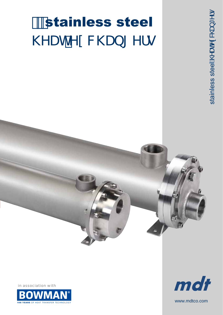# stainless steel **NYUhYI WW Ub[Yfg**

in association with





stainless steelA@aaAc&@ay \*^!•

www.mdtco.com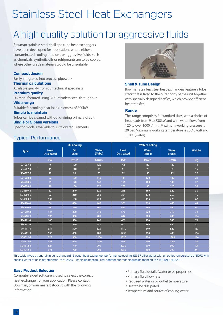## Stainless Steel Heat Exchangers

### A high quality solution for aggressive fluids

Bowman stainless steel shell and tube heat exchangers have been developed for applications where either a contaminated cooling medium, or aggressive fluids, such as chemicals, synthetic oils or refrigerants are to be cooled, where other grade materials would be unsuitable.

#### **Compact design**

Easily integrated into process pipework

#### **Thermal calculations**

Available quickly from our technical specialists

#### **Premium quality**

UK manufactured using 316L stainless steel throughout **Wide range**

Suitable for cooling heat loads in excess of 800kW

#### **Simple to maintain**

Tubes can be cleaned without draining primary circuit

#### **Single or 3 pass versions**

Typical Performance

Specific models available to suit flow requirements



#### **Shell & Tube Design**

Bowman stainless steel heat exchangers feature a tube stack that is fixed to the outer body of the unit together with specially designed baffles, which provide efficient heat transfer.

#### **Range**

The range comprises 21 standard sizes, with a choice of heat loads from 9 to 838kW and with water flows from 120 to over 1000 l/min. Maximum working pressure is 20 bar. Maximum working temperature is 200°C (oil) and 110<sup>o</sup>C (water).

|             |                                  | <b>Oil Cooling</b> |                        | <b>Water Cooling</b>             |                         |                        |               |  |  |
|-------------|----------------------------------|--------------------|------------------------|----------------------------------|-------------------------|------------------------|---------------|--|--|
| <b>Type</b> | <b>Heat</b><br><b>Dissipated</b> | Oil<br>(Shell)     | <b>Water</b><br>(Tube) | <b>Heat</b><br><b>Dissipated</b> | <b>Water</b><br>(Shell) | <b>Water</b><br>(Tube) | <b>Weight</b> |  |  |
|             | kW                               | I/min              | I/min                  | kW                               | l/min                   | l/min                  | kg            |  |  |
| SB4507-2    | 9                                | 120                | 120                    | 42                               | 80                      | 120                    | 11            |  |  |
| SB4507-4    | 15                               | 110                | 85                     | 61                               | 70                      | 85                     | 15            |  |  |
| SB4507-6    | 22                               | 90                 | 75                     | 92                               | 55                      | 75                     | 20            |  |  |
| SC4508-4    | 22                               | 180                | 140                    | 111                              | 120                     | 180                    | 21            |  |  |
| SC4508-6    | 35                               | 170                | 140                    | 156                              | 100                     | 140                    | 27            |  |  |
| SC4508-8    | 48                               | 150                | 120                    | 200                              | 95                      | 120                    | 38            |  |  |
| SD4509-4    | 52                               | 240                | 320                    | 245                              | 160                     | 320                    | 30            |  |  |
| SD4509-6    | 82                               | 210                | 250                    | 361                              | 130                     | 250                    | 45            |  |  |
| SD4509-8    | 133                              | 180                | 220                    | 495                              | 115                     | 220                    | 62            |  |  |
| SE4510-4    | 66                               | 480                | 460                    | 301                              | 310                     | 460                    | 44            |  |  |
| SE4510-6    | 100                              | 390                | 360                    | 425                              | 280                     | 360                    | 60            |  |  |
| SE4510-8    | 144                              | 330                | 310                    | 570                              | 220                     | 310                    | 78            |  |  |
| SE4510-9    | 196                              | 300                | 280                    | 642                              | 200                     | 280                    | 104           |  |  |
| SF4511-4    | 140                              | 580                | 740                    | 600                              | 420                     | 740                    | 79            |  |  |
| SF4511-6    | 224                              | 550                | 650                    | 907                              | 390                     | 650                    | 101           |  |  |
| SF4511-8    | 354                              | 500                | 520                    | 1110                             | 340                     | 520                    | 133           |  |  |
| SF4511-9    | 536                              | 460                | 480                    | 1230                             | 310                     | 480                    | 164           |  |  |
| SG4512-4    | 223                              | 960                | 1100                   | 1020                             | 700                     | 1300                   | 114           |  |  |
| SG4512-6    | 358                              | 920                | 1000                   | 1390                             | 650                     | 1000                   | 148           |  |  |
| SG4512-8    | 624                              | 740                | 900                    | 2030                             | 500                     | 900                    | 198           |  |  |
| SG4512-9    | 871                              | 750                | 790                    | 2050                             | 480                     | 790                    | 244           |  |  |

This table gives a general guide to standard (3 pass) heat exchanger performance cooling ISO 37 oil or water with an outlet temperature of 50°C with cooling water at an inlet temperature of 25°C. For single pass figures, contact our technical sales team on +44 (0) 121 359 5401.

#### **Easy Product Selection**

Computer aided software is used to select the correct heat exchanger for your application. Please contact Bowman, or your nearest stockist with the following information:

- Primary fluid details (water or oil properties)
- Primary fluid flow rate
- Required water or oil outlet temperature
- Heat to be dissipated
- Temperature and source of cooling water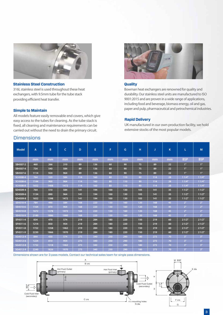

#### **Stainless Steel Construction**

316L stainless steel is used throughout these heat exchangers, with 9.5mm tube for the tube stack providing efficient heat transfer.

All models feature easily removable end covers, which give easy access to the tubes for cleaning. As the tube stack is fixed, all cleaning and maintenance requirements can be carried out without the need to drain the primary circuit.



#### **Quality**

Bowman heat exchangers are renowned for quality and durability. Our stainless steel units are manufactured to ISO 9001:2015 and are proven in a wide range of applications, including food and beverage, biomass energy, oil and gas, paper and pulp, pharmaceutical and petrochemical industries. **Simple to Maintain**

#### **Rapid Delivery**

UK manufactured in our own production facility, we hold extensive stocks of the most popular models.

| <b>Model</b> | A    | B    | C    | D   | E   | F   | G   | н   |     | K  | L              | M              |
|--------------|------|------|------|-----|-----|-----|-----|-----|-----|----|----------------|----------------|
|              | mm   | mm   | mm   | mm  | mm  | mm  | mm  | mm  | mm  | mm | <b>BSP</b>     | <b>BSP</b>     |
| SB4507-2     | 460  | 266  | 310  | 89  | 136 | 60  | 90  | 75  | 89  | 22 | 1"             | 1"             |
| SB4507-4     | 734  | 540  | 584  | 89  | 136 | 60  | 90  | 75  | 89  | 22 | 1"             | 1"             |
| SB4507-6     | 1114 | 920  | 964  | 89  | 136 | 60  | 90  | 75  | 89  | 22 | 1"             | 1"             |
| SC4508-4     | 764  | 520  | 584  | 114 | 160 | 80  | 110 | 90  | 114 | 28 | 11/4"          | 11/4"          |
| SC4508-6     | 1144 | 900  | 964  | 114 | 160 | 80  | 110 | 90  | 114 | 28 | 11/4"          | 11/4"          |
| SC4508-8     | 1652 | 1408 | 1472 | 114 | 160 | 80  | 110 | 90  | 114 | 28 | 11/4"          | 11/4"          |
| SD4509-4     | 764  | 510  | 584  | 141 | 194 | 100 | 130 | 105 | 141 | 35 | 11/2"          | 11/2"          |
| SD4509-6     | 1134 | 890  | 964  | 141 | 194 | 100 | 130 | 105 | 141 | 35 | 11/2"          | 11/2"          |
| SD4509-8     | 1652 | 1398 | 1472 | 141 | 194 | 100 | 130 | 105 | 141 | 35 | 11/2"          | 11/2"          |
| SE4510-4     | 784  | 490  | 584  | 168 | 220 | 130 | 160 | 120 | 168 | 45 | 2 <sup>n</sup> | 2 <sup>n</sup> |
| SE4510-6     | 1164 | 870  | 964  | 168 | 220 | 130 | 160 | 120 | 168 | 45 | 2 <sup>n</sup> | 2 <sup>n</sup> |
| SE4510-8     | 1672 | 1378 | 1472 | 168 | 220 | 130 | 160 | 120 | 168 | 45 | 2 <sup>n</sup> | 2 <sup>n</sup> |
| SE4510-9     | 2180 | 1886 | 1980 | 168 | 220 | 130 | 160 | 120 | 168 | 45 | 2 <sup>n</sup> | 2 <sup>m</sup> |
| SF4511-4     | 834  | 470  | 574  | 219 | 284 | 180 | 220 | 150 | 219 | 60 | 21/2"          | 21/2"          |
| SF4511-6     | 1214 | 850  | 954  | 219 | 284 | 180 | 220 | 150 | 219 | 60 | 21/2"          | 21/2"          |
| SF4511-8     | 1722 | 1358 | 1462 | 219 | 284 | 180 | 220 | 150 | 219 | 60 | 21/2"          | 21/2"          |
| SF4511-9     | 2230 | 1866 | 1970 | 219 | 284 | 180 | 220 | 150 | 219 | 60 | 21/2"          | 21/2"          |
| SG4512-4     | 844  | 430  | 574  | 273 | 340 | 250 | 290 | 180 | 273 | 70 | 3"             | 3"             |
| SG4512-6     | 1224 | 810  | 954  | 273 | 340 | 250 | 290 | 180 | 273 | 70 | 3"             | 3"             |
| SG4512-8     | 1732 | 1318 | 1462 | 273 | 340 | 250 | 290 | 180 | 273 | 70 | 3"             | 3"             |
| SG4512-9     | 2240 | 1826 | 1970 | 273 | 340 | 250 | 290 | 180 | 273 | 70 | 3"             | 3"             |

Dimensions shown are for 3 pass models. Contact our technical sales team for single pass dimensions.



### Dimensions